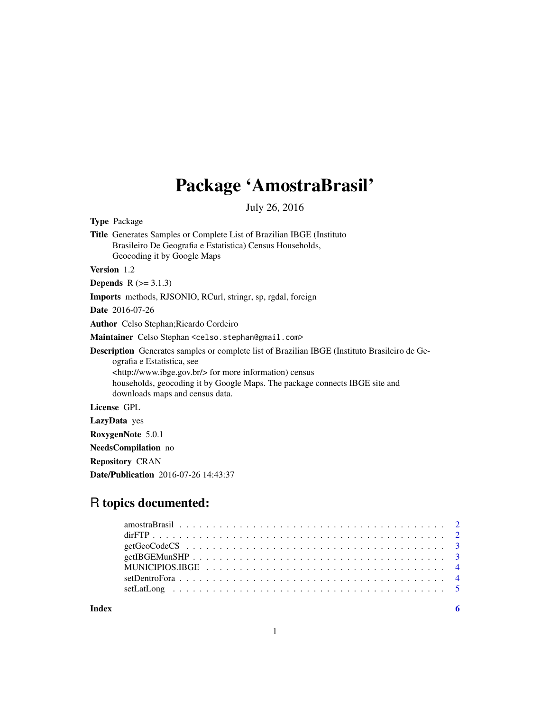# Package 'AmostraBrasil'

July 26, 2016

Type Package Title Generates Samples or Complete List of Brazilian IBGE (Instituto Brasileiro De Geografia e Estatistica) Census Households, Geocoding it by Google Maps Version 1.2 **Depends**  $R$  ( $>= 3.1.3$ ) Imports methods, RJSONIO, RCurl, stringr, sp, rgdal, foreign Date 2016-07-26 Author Celso Stephan;Ricardo Cordeiro Maintainer Celso Stephan <celso.stephan@gmail.com> Description Generates samples or complete list of Brazilian IBGE (Instituto Brasileiro de Geografia e Estatistica, see <http://www.ibge.gov.br/> for more information) census households, geocoding it by Google Maps. The package connects IBGE site and downloads maps and census data. License GPL LazyData yes RoxygenNote 5.0.1 NeedsCompilation no Repository CRAN

Date/Publication 2016-07-26 14:43:37

# R topics documented:

**Index** [6](#page-5-0) **6**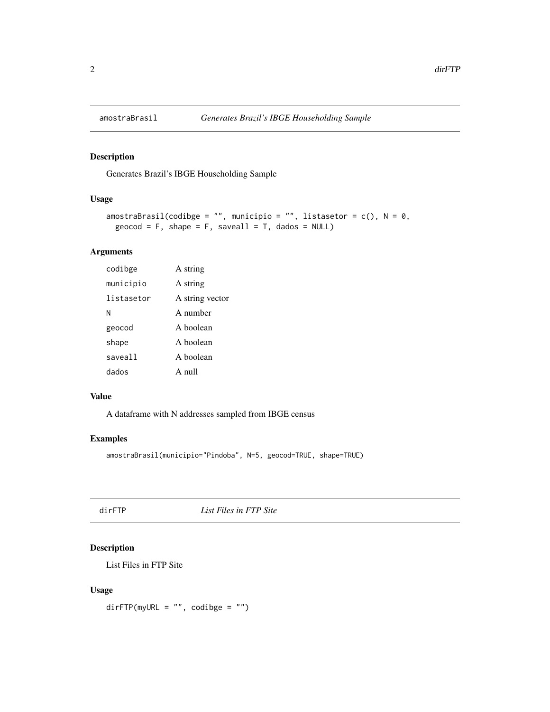<span id="page-1-0"></span>

# Description

Generates Brazil's IBGE Householding Sample

# Usage

```
amostraBrasil(codibge = "", municipio = "", listasetor = c(), N = 0,
geocod = F, shape = F, saveall = T, dados = NULL)
```
# Arguments

| codibge    | A string        |
|------------|-----------------|
| municipio  | A string        |
| listasetor | A string vector |
| Ν          | A number        |
| geocod     | A boolean       |
| shape      | A boolean       |
| saveall    | A boolean       |
| dados      | $A$ null        |

#### Value

A dataframe with N addresses sampled from IBGE census

#### Examples

```
amostraBrasil(municipio="Pindoba", N=5, geocod=TRUE, shape=TRUE)
```
dirFTP *List Files in FTP Site*

# Description

List Files in FTP Site

# Usage

dirFTP(myURL = "", codibge = "")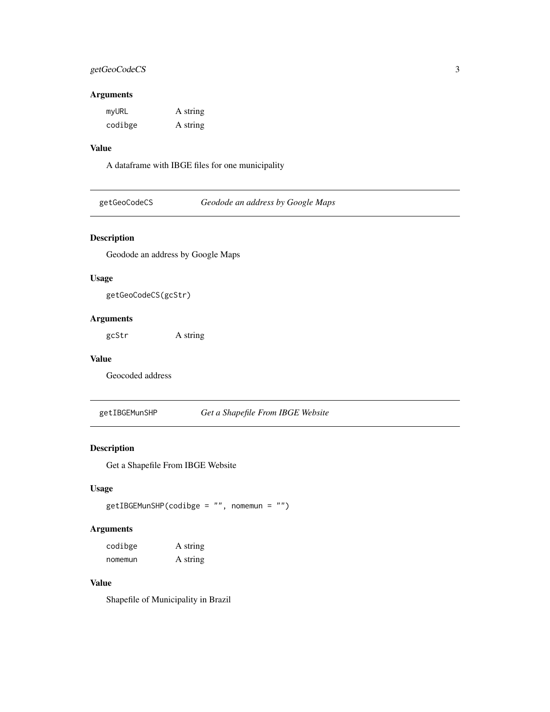# <span id="page-2-0"></span>getGeoCodeCS 3

# Arguments

| myURL   | A string |
|---------|----------|
| codibge | A string |

# Value

A dataframe with IBGE files for one municipality

# Description

Geodode an address by Google Maps

# Usage

getGeoCodeCS(gcStr)

# Arguments

gcStr A string

#### Value

Geocoded address

getIBGEMunSHP *Get a Shapefile From IBGE Website*

# Description

Get a Shapefile From IBGE Website

# Usage

```
getIBGEMunSHP(codibge = "", nomemun = "")
```
# Arguments

| codibge | A string |
|---------|----------|
| nomemun | A string |

#### Value

Shapefile of Municipality in Brazil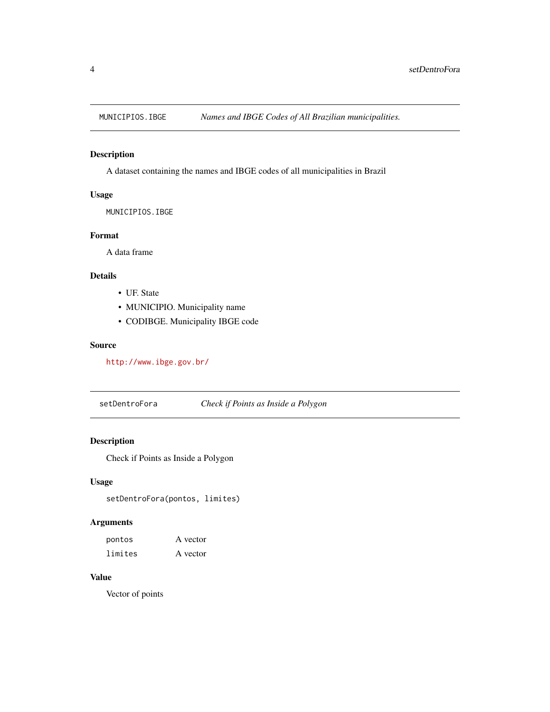<span id="page-3-0"></span>

# Description

A dataset containing the names and IBGE codes of all municipalities in Brazil

#### Usage

MUNICIPIOS.IBGE

# Format

A data frame

# Details

- UF. State
- MUNICIPIO. Municipality name
- CODIBGE. Municipality IBGE code

#### Source

<http://www.ibge.gov.br/>

setDentroFora *Check if Points as Inside a Polygon*

# Description

Check if Points as Inside a Polygon

# Usage

setDentroFora(pontos, limites)

# Arguments

| pontos  | A vector |
|---------|----------|
| limites | A vector |

# Value

Vector of points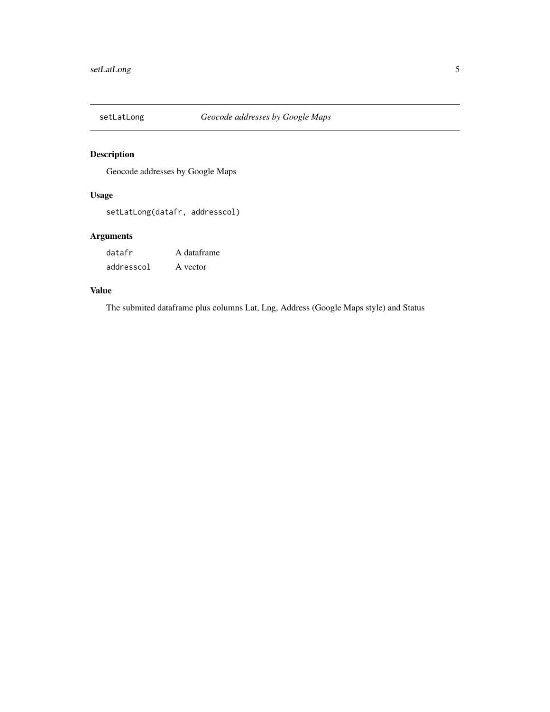<span id="page-4-0"></span>

# Description

Geocode addresses by Google Maps

# Usage

setLatLong(datafr, addresscol)

# Arguments

datafr A dataframe addresscol A vector

# Value

The submited dataframe plus columns Lat, Lng, Address (Google Maps style) and Status